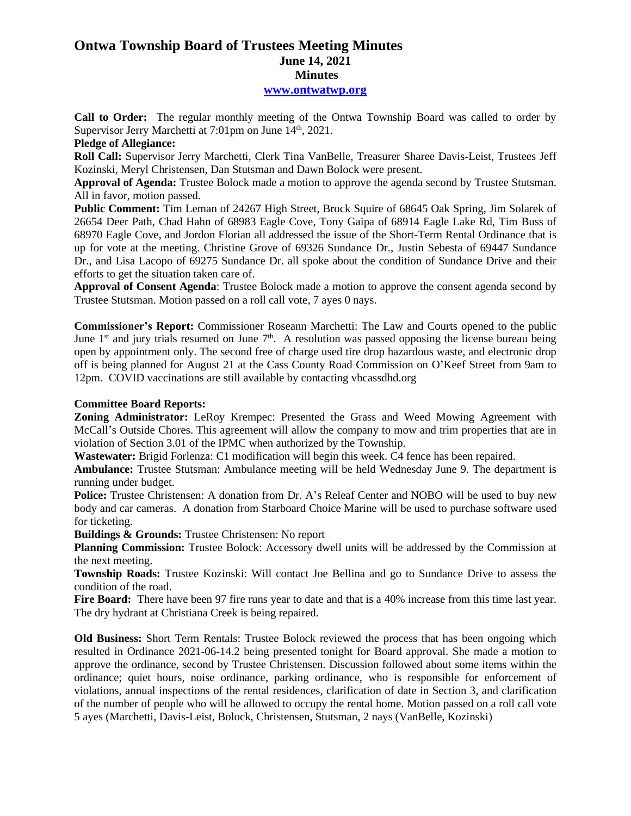# **Ontwa Township Board of Trustees Meeting Minutes June 14, 2021 Minutes**

## **[www.ontwatwp.org](http://www.ontwatwp.org/)**

**Call to Order:** The regular monthly meeting of the Ontwa Township Board was called to order by Supervisor Jerry Marchetti at 7:01pm on June 14<sup>th</sup>, 2021.

### **Pledge of Allegiance:**

**Roll Call:** Supervisor Jerry Marchetti, Clerk Tina VanBelle, Treasurer Sharee Davis-Leist, Trustees Jeff Kozinski, Meryl Christensen, Dan Stutsman and Dawn Bolock were present.

**Approval of Agenda:** Trustee Bolock made a motion to approve the agenda second by Trustee Stutsman. All in favor, motion passed.

**Public Comment:** Tim Leman of 24267 High Street, Brock Squire of 68645 Oak Spring, Jim Solarek of 26654 Deer Path, Chad Hahn of 68983 Eagle Cove, Tony Gaipa of 68914 Eagle Lake Rd, Tim Buss of 68970 Eagle Cove, and Jordon Florian all addressed the issue of the Short-Term Rental Ordinance that is up for vote at the meeting. Christine Grove of 69326 Sundance Dr., Justin Sebesta of 69447 Sundance Dr., and Lisa Lacopo of 69275 Sundance Dr. all spoke about the condition of Sundance Drive and their efforts to get the situation taken care of.

**Approval of Consent Agenda**: Trustee Bolock made a motion to approve the consent agenda second by Trustee Stutsman. Motion passed on a roll call vote, 7 ayes 0 nays.

**Commissioner's Report:** Commissioner Roseann Marchetti: The Law and Courts opened to the public June  $1<sup>st</sup>$  and jury trials resumed on June  $7<sup>th</sup>$ . A resolution was passed opposing the license bureau being open by appointment only. The second free of charge used tire drop hazardous waste, and electronic drop off is being planned for August 21 at the Cass County Road Commission on O'Keef Street from 9am to 12pm. COVID vaccinations are still available by contacting vbcassdhd.org

## **Committee Board Reports:**

**Zoning Administrator:** LeRoy Krempec: Presented the Grass and Weed Mowing Agreement with McCall's Outside Chores. This agreement will allow the company to mow and trim properties that are in violation of Section 3.01 of the IPMC when authorized by the Township.

**Wastewater:** Brigid Forlenza: C1 modification will begin this week. C4 fence has been repaired.

**Ambulance:** Trustee Stutsman: Ambulance meeting will be held Wednesday June 9. The department is running under budget.

**Police:** Trustee Christensen: A donation from Dr. A's Releaf Center and NOBO will be used to buy new body and car cameras. A donation from Starboard Choice Marine will be used to purchase software used for ticketing.

**Buildings & Grounds:** Trustee Christensen: No report

**Planning Commission:** Trustee Bolock: Accessory dwell units will be addressed by the Commission at the next meeting.

**Township Roads:** Trustee Kozinski: Will contact Joe Bellina and go to Sundance Drive to assess the condition of the road.

Fire Board: There have been 97 fire runs year to date and that is a 40% increase from this time last year. The dry hydrant at Christiana Creek is being repaired.

**Old Business:** Short Term Rentals: Trustee Bolock reviewed the process that has been ongoing which resulted in Ordinance 2021-06-14.2 being presented tonight for Board approval. She made a motion to approve the ordinance, second by Trustee Christensen. Discussion followed about some items within the ordinance; quiet hours, noise ordinance, parking ordinance, who is responsible for enforcement of violations, annual inspections of the rental residences, clarification of date in Section 3, and clarification of the number of people who will be allowed to occupy the rental home. Motion passed on a roll call vote 5 ayes (Marchetti, Davis-Leist, Bolock, Christensen, Stutsman, 2 nays (VanBelle, Kozinski)